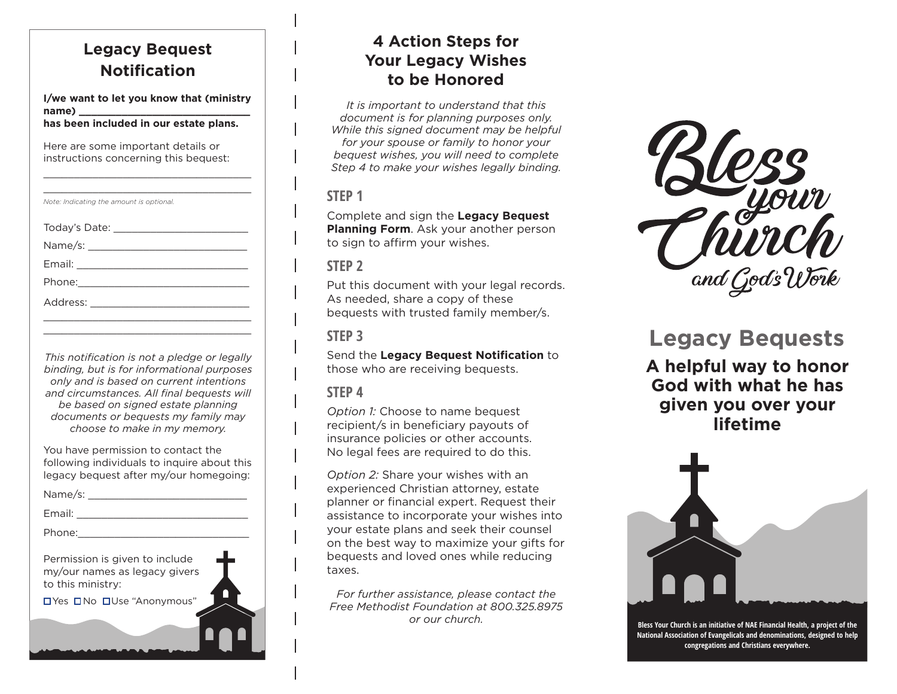# **Legacy Bequest Notification**

**I/we want to let you know that (ministry name) \_\_\_\_\_\_\_\_\_\_\_\_\_\_\_\_\_\_\_\_\_\_\_\_\_\_\_\_** 

\_\_\_\_\_\_\_\_\_\_\_\_\_\_\_\_\_\_\_\_\_\_\_\_\_\_\_\_\_\_\_\_\_\_

**has been included in our estate plans.**

Here are some important details or instructions concerning this bequest:

| Note: Indicating the amount is optional. |  |
|------------------------------------------|--|
|                                          |  |
|                                          |  |
|                                          |  |
|                                          |  |
|                                          |  |
|                                          |  |
|                                          |  |

*This notification is not a pledge or legally binding, but is for informational purposes only and is based on current intentions and circumstances. All final bequests will be based on signed estate planning documents or bequests my family may choose to make in my memory.*

You have permission to contact the following individuals to inquire about this legacy bequest after my/our homegoing:

Name/s: \_\_\_\_\_\_\_\_\_\_\_\_\_\_\_\_\_\_\_\_\_\_\_\_\_\_

Email:  $\blacksquare$ 

Phone:

Permission is given to include my/our names as legacy givers to this ministry:

Yes No Use "Anonymous"

## **4 Action Steps for Your Legacy Wishes to be Honored**

*It is important to understand that this document is for planning purposes only. While this signed document may be helpful for your spouse or family to honor your bequest wishes, you will need to complete Step 4 to make your wishes legally binding.* 

#### **STEP 1**

Complete and sign the **Legacy Bequest Planning Form**. Ask your another person to sign to affirm your wishes.

#### **STEP 2**

Put this document with your legal records. As needed, share a copy of these bequests with trusted family member/s.

### **STEP 3**

Send the **Legacy Bequest Notification** to those who are receiving bequests.

#### **STEP 4**

*Option 1:* Choose to name bequest recipient/s in beneficiary payouts of insurance policies or other accounts. No legal fees are required to do this.

*Option 2:* Share your wishes with an experienced Christian attorney, estate planner or financial expert. Request their assistance to incorporate your wishes into your estate plans and seek their counsel on the best way to maximize your gifts for bequests and loved ones while reducing taxes.

*For further assistance, please contact the Free Methodist Foundation at 800.325.8975*



# **Legacy Bequests**

**A helpful way to honor God with what he has given you over your lifetime**